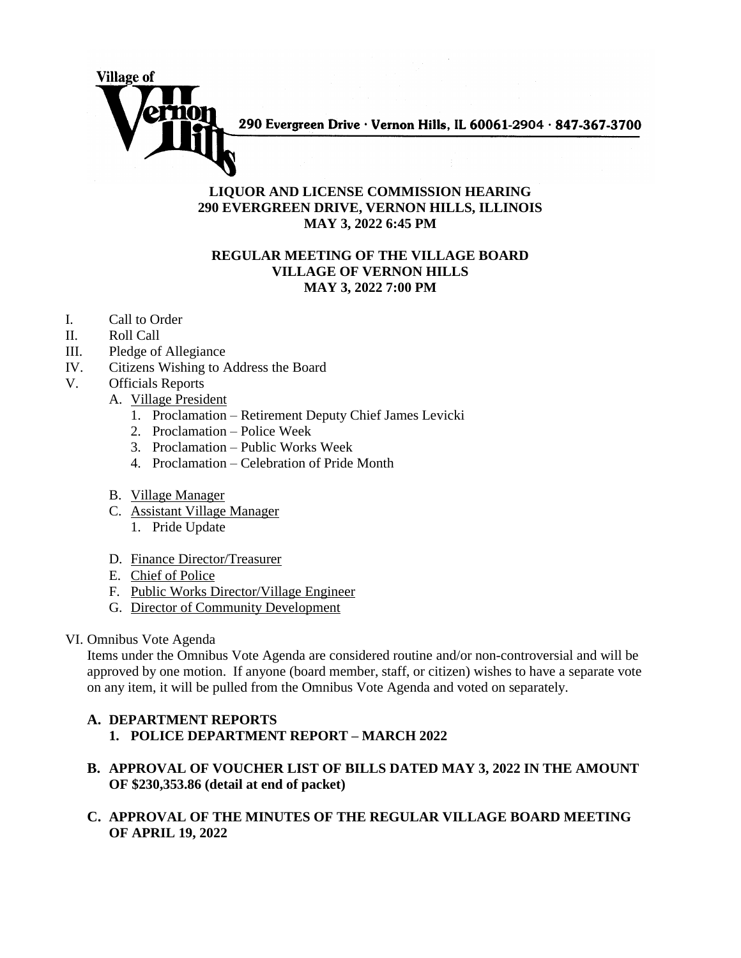

290 Evergreen Drive · Vernon Hills, IL 60061-2904 · 847-367-3700

## **LIQUOR AND LICENSE COMMISSION HEARING 290 EVERGREEN DRIVE, VERNON HILLS, ILLINOIS MAY 3, 2022 6:45 PM**

## **REGULAR MEETING OF THE VILLAGE BOARD VILLAGE OF VERNON HILLS MAY 3, 2022 7:00 PM**

- I. Call to Order
- II. Roll Call
- III. Pledge of Allegiance
- IV. Citizens Wishing to Address the Board
- V. Officials Reports
	- A. Village President
		- 1. Proclamation Retirement Deputy Chief James Levicki
		- 2. Proclamation Police Week
		- 3. Proclamation Public Works Week
		- 4. Proclamation Celebration of Pride Month
	- B. Village Manager
	- C. Assistant Village Manager
		- 1. Pride Update
	- D. Finance Director/Treasurer
	- E. Chief of Police
	- F. Public Works Director/Village Engineer
	- G. Director of Community Development
- VI. Omnibus Vote Agenda

Items under the Omnibus Vote Agenda are considered routine and/or non-controversial and will be approved by one motion. If anyone (board member, staff, or citizen) wishes to have a separate vote on any item, it will be pulled from the Omnibus Vote Agenda and voted on separately.

## **A. DEPARTMENT REPORTS 1. POLICE DEPARTMENT REPORT – MARCH 2022**

- **B. APPROVAL OF VOUCHER LIST OF BILLS DATED MAY 3, 2022 IN THE AMOUNT OF \$230,353.86 (detail at end of packet)**
- **C. APPROVAL OF THE MINUTES OF THE REGULAR VILLAGE BOARD MEETING OF APRIL 19, 2022**